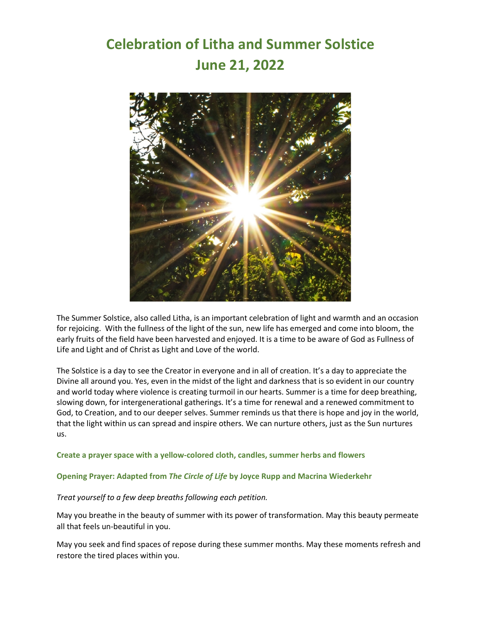# **Celebration of Litha and Summer Solstice June 21, 2022**



The Summer Solstice, also called Litha, is an important celebration of light and warmth and an occasion for rejoicing. With the fullness of the light of the sun, new life has emerged and come into bloom, the early fruits of the field have been harvested and enjoyed. It is a time to be aware of God as Fullness of Life and Light and of Christ as Light and Love of the world.

The Solstice is a day to see the Creator in everyone and in all of creation. It's a day to appreciate the Divine all around you. Yes, even in the midst of the light and darkness that is so evident in our country and world today where violence is creating turmoil in our hearts. Summer is a time for deep breathing, slowing down, for intergenerational gatherings. It's a time for renewal and a renewed commitment to God, to Creation, and to our deeper selves. Summer reminds us that there is hope and joy in the world, that the light within us can spread and inspire others. We can nurture others, just as the Sun nurtures us.

## **Create a prayer space with a yellow-colored cloth, candles, summer herbs and flowers**

# **Opening Prayer: Adapted from** *The Circle of Life* **by Joyce Rupp and Macrina Wiederkehr**

## *Treat yourself to a few deep breaths following each petition.*

May you breathe in the beauty of summer with its power of transformation. May this beauty permeate all that feels un-beautiful in you.

May you seek and find spaces of repose during these summer months. May these moments refresh and restore the tired places within you.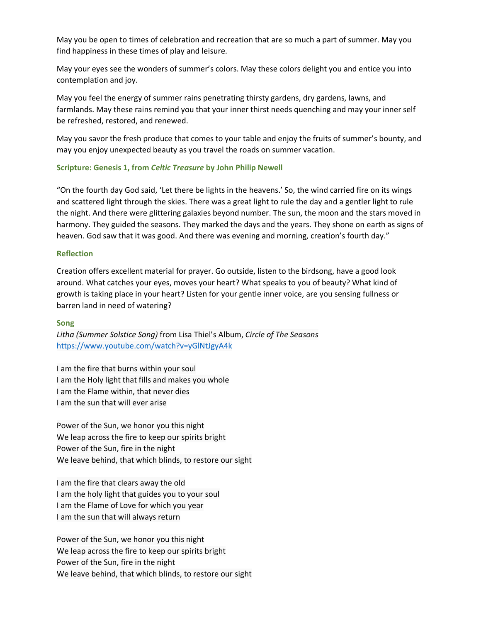May you be open to times of celebration and recreation that are so much a part of summer. May you find happiness in these times of play and leisure.

May your eyes see the wonders of summer's colors. May these colors delight you and entice you into contemplation and joy.

May you feel the energy of summer rains penetrating thirsty gardens, dry gardens, lawns, and farmlands. May these rains remind you that your inner thirst needs quenching and may your inner self be refreshed, restored, and renewed.

May you savor the fresh produce that comes to your table and enjoy the fruits of summer's bounty, and may you enjoy unexpected beauty as you travel the roads on summer vacation.

## **Scripture: Genesis 1, from** *Celtic Treasure* **by John Philip Newell**

"On the fourth day God said, 'Let there be lights in the heavens.' So, the wind carried fire on its wings and scattered light through the skies. There was a great light to rule the day and a gentler light to rule the night. And there were glittering galaxies beyond number. The sun, the moon and the stars moved in harmony. They guided the seasons. They marked the days and the years. They shone on earth as signs of heaven. God saw that it was good. And there was evening and morning, creation's fourth day."

## **Reflection**

Creation offers excellent material for prayer. Go outside, listen to the birdsong, have a good look around. What catches your eyes, moves your heart? What speaks to you of beauty? What kind of growth is taking place in your heart? Listen for your gentle inner voice, are you sensing fullness or barren land in need of watering?

## **Song**

*Litha (Summer Solstice Song)* from Lisa Thiel's Album, *Circle of The Seasons* <https://www.youtube.com/watch?v=yGlNtJgyA4k>

I am the fire that burns within your soul I am the Holy light that fills and makes you whole I am the Flame within, that never dies I am the sun that will ever arise

Power of the Sun, we honor you this night We leap across the fire to keep our spirits bright Power of the Sun, fire in the night We leave behind, that which blinds, to restore our sight

I am the fire that clears away the old I am the holy light that guides you to your soul I am the Flame of Love for which you year I am the sun that will always return

Power of the Sun, we honor you this night We leap across the fire to keep our spirits bright Power of the Sun, fire in the night We leave behind, that which blinds, to restore our sight